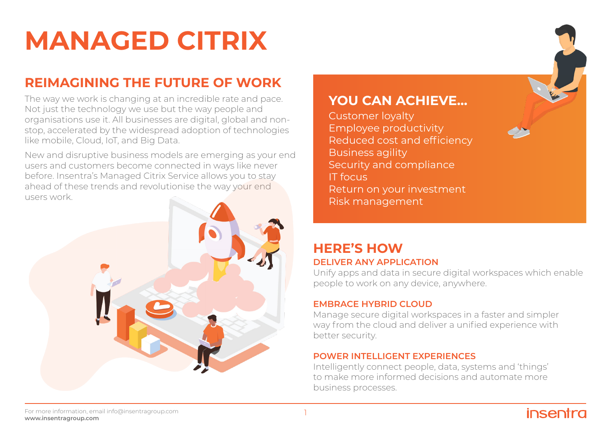#### For more information, email info@insentragroup.com **www.insentragroup.com**

# **MANAGED CITRIX**

# **REIMAGINING THE FUTURE OF WORK**

The way we work is changing at an incredible rate and pace. Not just the technology we use but the way people and organisations use it. All businesses are digital, global and nonstop, accelerated by the widespread adoption of technologies like mobile, Cloud, IoT, and Big Data.

New and disruptive business models are emerging as your end users and customers become connected in ways like never before. Insentra's Managed Citrix Service allows you to stay ahead of these trends and revolutionise the way your end users work.



Unify apps and data in secure digital workspaces which enable people to work on any device, anywhere.

## **EMBRACE HYBRID CLOUD**

Manage secure digital workspaces in a faster and simpler way from the cloud and deliver a unified experience with better security.

## **POWER INTELLIGENT EXPERIENCES**

**YOU CAN ACHIEVE...**

Reduced cost and efficiency

Employee productivity

Security and compliance

Return on your investment

Customer loyalty

Business agility

Risk management

IT focus

Intelligently connect people, data, systems and 'things' to make more informed decisions and automate more business processes.